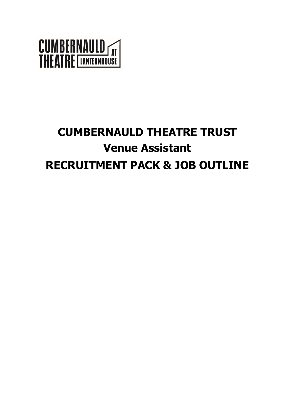

# **CUMBERNAULD THEATRE TRUST Venue Assistant RECRUITMENT PACK & JOB OUTLINE**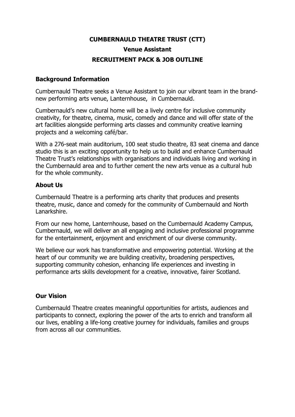## **CUMBERNAULD THEATRE TRUST (CTT)**

## **Venue Assistant RECRUITMENT PACK & JOB OUTLINE**

## **Background Information**

Cumbernauld Theatre seeks a Venue Assistant to join our vibrant team in the brandnew performing arts venue, Lanternhouse, in Cumbernauld.

Cumbernauld's new cultural home will be a lively centre for inclusive community creativity, for theatre, cinema, music, comedy and dance and will offer state of the art facilities alongside performing arts classes and community creative learning projects and a welcoming café/bar.

With a 276-seat main auditorium, 100 seat studio theatre, 83 seat cinema and dance studio this is an exciting opportunity to help us to build and enhance Cumbernauld Theatre Trust's relationships with organisations and individuals living and working in the Cumbernauld area and to further cement the new arts venue as a cultural hub for the whole community.

## **About Us**

Cumbernauld Theatre is a performing arts charity that produces and presents theatre, music, dance and comedy for the community of Cumbernauld and North Lanarkshire.

From our new home, Lanternhouse, based on the Cumbernauld Academy Campus, Cumbernauld, we will deliver an all engaging and inclusive professional programme for the entertainment, enjoyment and enrichment of our diverse community.

We believe our work has transformative and empowering potential. Working at the heart of our community we are building creativity, broadening perspectives, supporting community cohesion, enhancing life experiences and investing in performance arts skills development for a creative, innovative, fairer Scotland.

## **Our Vision**

Cumbernauld Theatre creates meaningful opportunities for artists, audiences and participants to connect, exploring the power of the arts to enrich and transform all our lives, enabling a life-long creative journey for individuals, families and groups from across all our communities.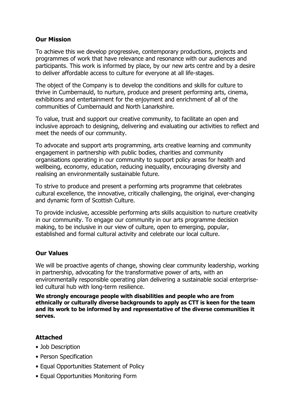## **Our Mission**

To achieve this we develop progressive, contemporary productions, projects and programmes of work that have relevance and resonance with our audiences and participants. This work is informed by place, by our new arts centre and by a desire to deliver affordable access to culture for everyone at all life-stages.

The object of the Company is to develop the conditions and skills for culture to thrive in Cumbernauld, to nurture, produce and present performing arts, cinema, exhibitions and entertainment for the enjoyment and enrichment of all of the communities of Cumbernauld and North Lanarkshire.

To value, trust and support our creative community, to facilitate an open and inclusive approach to designing, delivering and evaluating our activities to reflect and meet the needs of our community.

To advocate and support arts programming, arts creative learning and community engagement in partnership with public bodies, charities and community organisations operating in our community to support policy areas for health and wellbeing, economy, education, reducing inequality, encouraging diversity and realising an environmentally sustainable future.

To strive to produce and present a performing arts programme that celebrates cultural excellence, the innovative, critically challenging, the original, ever-changing and dynamic form of Scottish Culture.

To provide inclusive, accessible performing arts skills acquisition to nurture creativity in our community. To engage our community in our arts programme decision making, to be inclusive in our view of culture, open to emerging, popular, established and formal cultural activity and celebrate our local culture.

## **Our Values**

We will be proactive agents of change, showing clear community leadership, working in partnership, advocating for the transformative power of arts, with an environmentally responsible operating plan delivering a sustainable social enterpriseled cultural hub with long-term resilience.

**We strongly encourage people with disabilities and people who are from ethnically or culturally diverse backgrounds to apply as CTT is keen for the team and its work to be informed by and representative of the diverse communities it serves.**

## **Attached**

- Job Description
- Person Specification
- Equal Opportunities Statement of Policy
- Equal Opportunities Monitoring Form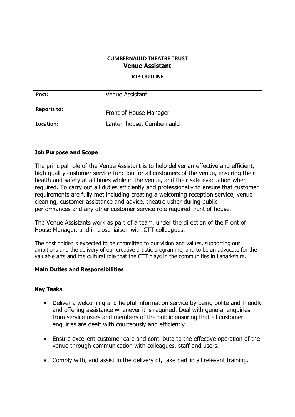## **CUMBERNAULD THEATRE TRUST Venue Assistant**

#### **JOB OUTLINE**

| Post:              | Venue Assistant           |
|--------------------|---------------------------|
| <b>Reports to:</b> | Front of House Manager    |
| Location:          | Lanternhouse, Cumbernauld |

#### **Job Purpose and Scope**

The principal role of the Venue Assistant is to help deliver an effective and efficient, high quality customer service function for all customers of the venue, ensuring their health and safety at all times while in the venue, and their safe evacuation when required. To carry out all duties efficiently and professionally to ensure that customer requirements are fully met including creating a welcoming reception service, venue cleaning, customer assistance and advice, theatre usher during public performances and any other customer service role required front of house.

The Venue Assistants work as part of a team, under the direction of the Front of House Manager, and in close liaison with CTT colleagues.

The post holder is expected to be committed to our vision and values, supporting our ambitions and the delivery of our creative artistic programme, and to be an advocate for the valuable arts and the cultural role that the CTT plays in the communities in Lanarkshire.

#### **Main Duties and Responsibilities**

#### **Key Tasks**

- Deliver a welcoming and helpful information service by being polite and friendly and offering assistance whenever it is required. Deal with general enquiries from service users and members of the public ensuring that all customer enquiries are dealt with courteously and efficiently.
- Ensure excellent customer care and contribute to the effective operation of the venue through communication with colleagues, staff and users.
- Comply with, and assist in the delivery of, take part in all relevant training.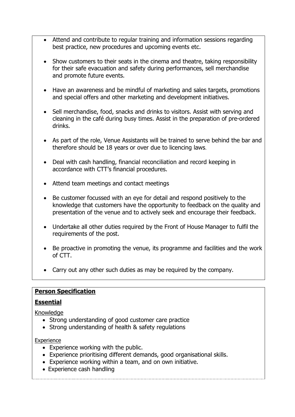- Attend and contribute to regular training and information sessions regarding best practice, new procedures and upcoming events etc.
- Show customers to their seats in the cinema and theatre, taking responsibility for their safe evacuation and safety during performances, sell merchandise and promote future events.
- Have an awareness and be mindful of marketing and sales targets, promotions and special offers and other marketing and development initiatives.
- Sell merchandise, food, snacks and drinks to visitors. Assist with serving and cleaning in the café during busy times. Assist in the preparation of pre-ordered drinks.
- As part of the role, Venue Assistants will be trained to serve behind the bar and therefore should be 18 years or over due to licencing laws.
- Deal with cash handling, financial reconciliation and record keeping in accordance with CTT's financial procedures.
- Attend team meetings and contact meetings
- Be customer focussed with an eye for detail and respond positively to the knowledge that customers have the opportunity to feedback on the quality and presentation of the venue and to actively seek and encourage their feedback.
- Undertake all other duties required by the Front of House Manager to fulfil the requirements of the post.
- Be proactive in promoting the venue, its programme and facilities and the work of CTT.
- Carry out any other such duties as may be required by the company.

#### **Person Specification**

#### **Essential**

Knowledge

- Strong understanding of good customer care practice
- Strong understanding of health & safety regulations

#### **Experience**

- Experience working with the public.
- Experience prioritising different demands, good organisational skills.
- Experience working within a team, and on own initiative.
- Experience cash handling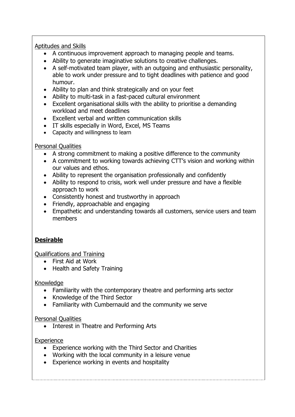## Aptitudes and Skills

- A continuous improvement approach to managing people and teams.
- Ability to generate imaginative solutions to creative challenges.
- A self-motivated team player, with an outgoing and enthusiastic personality, able to work under pressure and to tight deadlines with patience and good humour.
- Ability to plan and think strategically and on your feet
- Ability to multi-task in a fast-paced cultural environment
- Excellent organisational skills with the ability to prioritise a demanding workload and meet deadlines
- Excellent verbal and written communication skills
- IT skills especially in Word, Excel, MS Teams
- Capacity and willingness to learn

## Personal Qualities

- A strong commitment to making a positive difference to the community
- A commitment to working towards achieving CTT's vision and working within our values and ethos.
- Ability to represent the organisation professionally and confidently
- Ability to respond to crisis, work well under pressure and have a flexible approach to work
- Consistently honest and trustworthy in approach
- Friendly, approachable and engaging
- Empathetic and understanding towards all customers, service users and team members

## **Desirable**

Qualifications and Training

- First Aid at Work
- Health and Safety Training

## Knowledge

- Familiarity with the contemporary theatre and performing arts sector
- Knowledge of the Third Sector
- Familiarity with Cumbernauld and the community we serve

## Personal Qualities

• Interest in Theatre and Performing Arts

## **Experience**

- Experience working with the Third Sector and Charities
- Working with the local community in a leisure venue
- Experience working in events and hospitality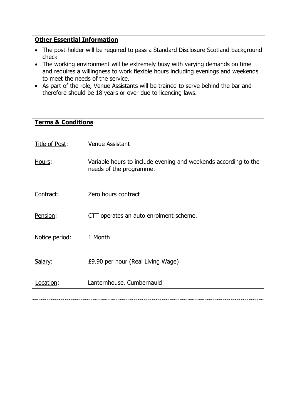## **Other Essential Information**

- The post-holder will be required to pass a Standard Disclosure Scotland background check
- The working environment will be extremely busy with varying demands on time and requires a willingness to work flexible hours including evenings and weekends to meet the needs of the service.
- As part of the role, Venue Assistants will be trained to serve behind the bar and therefore should be 18 years or over due to licencing laws.

| <b>Terms &amp; Conditions</b> |                                                                                            |
|-------------------------------|--------------------------------------------------------------------------------------------|
| Title of Post:                | <b>Venue Assistant</b>                                                                     |
|                               |                                                                                            |
| Hours:                        | Variable hours to include evening and weekends according to the<br>needs of the programme. |
| Contract:                     | Zero hours contract                                                                        |
| Pension:                      | CTT operates an auto enrolment scheme.                                                     |
| Notice period:                | 1 Month                                                                                    |
| Salary:                       | £9.90 per hour (Real Living Wage)                                                          |
| Location:                     | Lanternhouse, Cumbernauld                                                                  |
|                               |                                                                                            |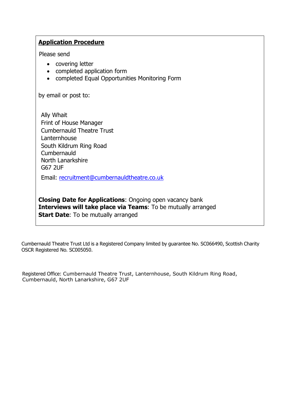## **Application Procedure**

Please send

- covering letter
- completed application form
- completed Equal Opportunities Monitoring Form

by email or post to:

Ally Whait Frint of House Manager Cumbernauld Theatre Trust Lanternhouse South Kildrum Ring Road **Cumbernauld** North Lanarkshire G67 2UF

Email: recruitment@cumbernauldtheatre.co.uk

**Closing Date for Applications**: Ongoing open vacancy bank **Interviews will take place via Teams**: To be mutually arranged **Start Date:** To be mutually arranged

Cumbernauld Theatre Trust Ltd is a Registered Company limited by guarantee No. SC066490, Scottish Charity OSCR Registered No. SC005050.

Registered Office: Cumbernauld Theatre Trust, Lanternhouse, South Kildrum Ring Road, Cumbernauld, North Lanarkshire, G67 2UF